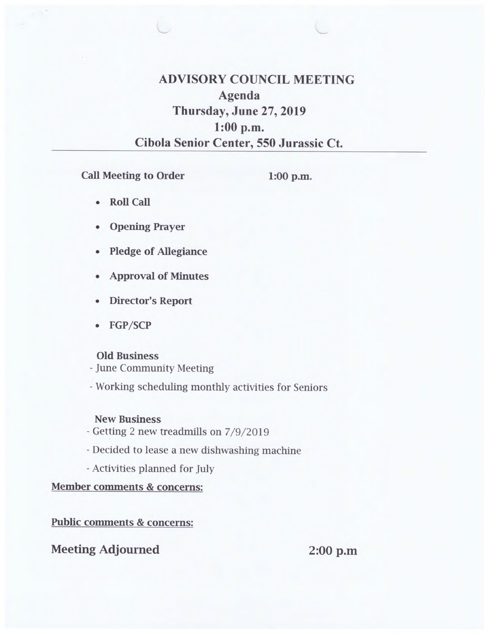**ADVISORY COUNCIL MEETING Agenda Thursday, June 27, 2019 1:00 p.m. Cibola Senior Center, 550 Jurassic Ct.** 

**Call Meeting to Order** 

**1:00 p.m.** 

- **Roll Call**
- **Opening Prayer**
- **Pledge of Allegiance**
- **Approval of Minutes**
- **Director's Report**
- **FGP/SCP**

### **Old Business**

- June Community Meeting

- Working scheduling monthly activities for Seniors

### **New Business**

- Getting 2 new treadmills on 7/9/2019
- Decided to lease a new dishwashing machine
- Activities planned for July

**Member comments & concerns:** 

### **Public comments & concerns:**

### **Meeting Adjourned 2:00 p.m**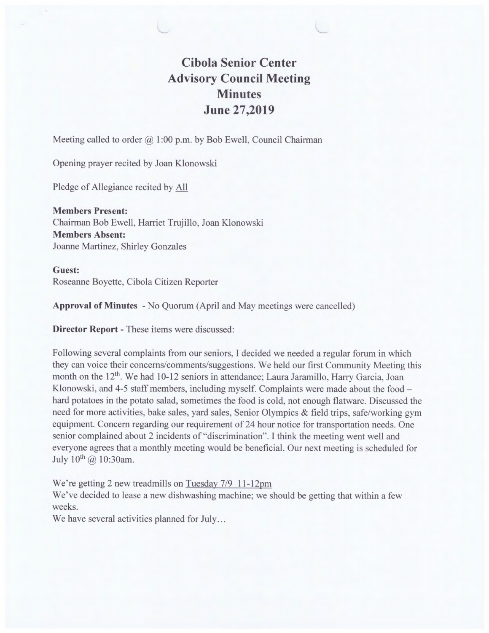## **Cibola Senior Center Advisory Council Meeting Minutes June 27,2019**

Meeting called to order @ **1:00** p.m. by Bob Ewell, Council Chairman

Opening prayer recited by Joan Klonowski

Pledge of Allegiance recited by All

**Members Present:**  Chairman Bob Ewell, Harriet Trujillo, Joan Klonowski **Members Absent:**  Joanne Martinez, Shirley Gonzales

### **Guest:**  Roseanne Boyette, Cibola Citizen Reporter

**Approval of Minutes -** No Quorum (April and May meetings were cancelled)

**Director Report -** These items were discussed:

Following several complaints from our seniors, I decided we needed a regular forum in which they can voice their concerns/comments/suggestions. We held our first Community Meeting this month on the 12<sup>th</sup>. We had 10-12 seniors in attendance; Laura Jaramillo, Harry Garcia, Joan Klonowski, and 4-5 staff members, including myself. Complaints were made about the food hard potatoes in the potato salad, sometimes the food is cold, not enough flatware. Discussed the need for more activities, bake sales, yard sales, Senior Olympics  $\&$  field trips, safe/working gym equipment. Concern regarding our requirement of 24 hour notice for transportation needs. One senior complained about 2 incidents of "discrimination". I think the meeting went well and everyone agrees that a monthly meeting would be beneficial. Our next meeting is scheduled for July  $10^{th}$  @  $10:30$ am.

We're getting 2 new treadmills on Tuesday 7/9 11-12pm

We've decided to lease a new dishwashing machine; we should be getting that within a few weeks.

We have several activities planned for July...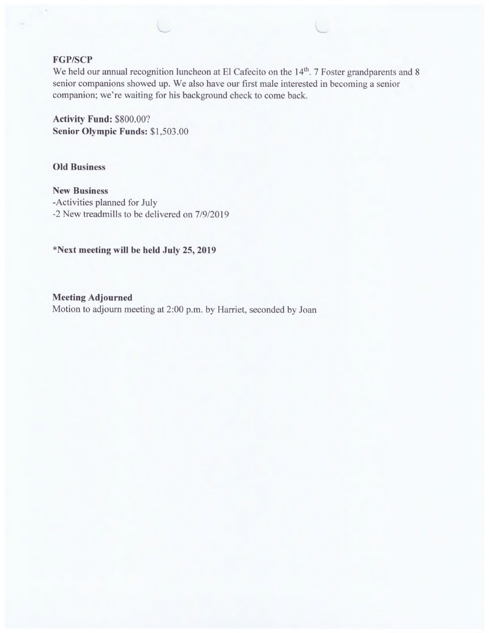#### **FGP/SCP**

We held our annual recognition luncheon at El Cafecito on the 14<sup>th</sup>. 7 Foster grandparents and 8 senior companions showed up. We also have our first male interested in becoming a senior companion; we're waiting for his background check to come back.

**Activity Fund:** \$800.00? **Senior Olympic Funds:** \$1,503.00

**Old Business** 

**New Business**  -Activities planned for July -2 New treadmills to be delivered on 7/9/2019

**\*Next meeting will be held July 25, 2019** 

**Meeting Adjourned**  Motion to adjourn meeting at 2:00 p.m. by Harriet, seconded by Joan